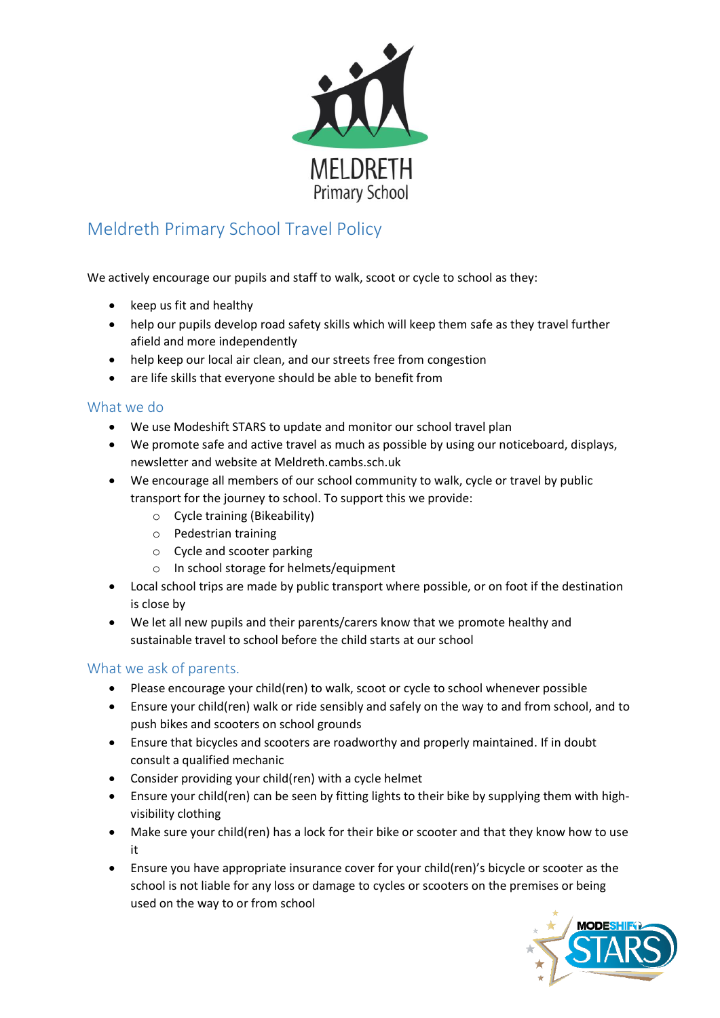

## Meldreth Primary School Travel Policy

We actively encourage our pupils and staff to walk, scoot or cycle to school as they:

- $\bullet$  keep us fit and healthy
- help our pupils develop road safety skills which will keep them safe as they travel further afield and more independently
- help keep our local air clean, and our streets free from congestion
- are life skills that everyone should be able to benefit from

## What we do

- We use Modeshift STARS to update and monitor our school travel plan
- We promote safe and active travel as much as possible by using our noticeboard, displays, newsletter and website at Meldreth.cambs.sch.uk
- We encourage all members of our school community to walk, cycle or travel by public transport for the journey to school. To support this we provide:
	- o Cycle training (Bikeability)
	- o Pedestrian training
	- o Cycle and scooter parking
	- o In school storage for helmets/equipment
- Local school trips are made by public transport where possible, or on foot if the destination is close by
- We let all new pupils and their parents/carers know that we promote healthy and sustainable travel to school before the child starts at our school

## What we ask of parents.

- Please encourage your child(ren) to walk, scoot or cycle to school whenever possible
- Ensure your child(ren) walk or ride sensibly and safely on the way to and from school, and to push bikes and scooters on school grounds
- Ensure that bicycles and scooters are roadworthy and properly maintained. If in doubt consult a qualified mechanic
- Consider providing your child(ren) with a cycle helmet
- Ensure your child(ren) can be seen by fitting lights to their bike by supplying them with highvisibility clothing
- Make sure your child(ren) has a lock for their bike or scooter and that they know how to use it
- Ensure you have appropriate insurance cover for your child(ren)'s bicycle or scooter as the school is not liable for any loss or damage to cycles or scooters on the premises or being used on the way to or from school